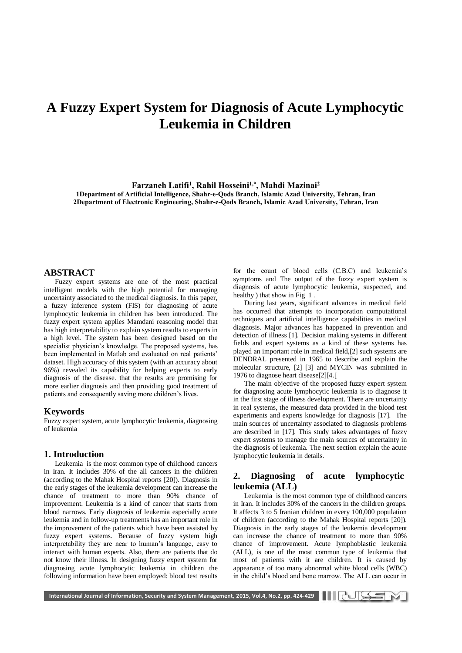# **A Fuzzy Expert System for Diagnosis of Acute Lymphocytic Leukemia in Children**

**Farzaneh Latifi<sup>1</sup> , Rahil Hosseini1,\*, Mahdi Mazinai<sup>2</sup> 1Department of Artificial Intelligence, Shahr-e-Qods Branch, Islamic Azad University, Tehran, Iran 2Department of Electronic Engineering, Shahr-e-Qods Branch, Islamic Azad University, Tehran, Iran**

## **ABSTRACT**

Fuzzy expert systems are one of the most practical intelligent models with the high potential for managing uncertainty associated to the medical diagnosis. In this paper, a fuzzy inference system (FIS) for diagnosing of acute lymphocytic leukemia in children has been introduced. The fuzzy expert system applies Mamdani reasoning model that has high interpretability to explain system results to experts in a high level. The system has been designed based on the specialist physician's knowledge. The proposed systems, has been implemented in Matlab and evaluated on real patients' dataset. High accuracy of this system (with an accuracy about 96%) revealed its capability for helping experts to early diagnosis of the disease. that the results are promising for more earlier diagnosis and then providing good treatment of patients and consequently saving more children's lives.

#### **Keywords**

Fuzzy expert system, acute lymphocytic leukemia, diagnosing of leukemia

#### **1. Introduction**

Leukemia is the most common type of childhood cancers in Iran. It includes 30% of the all cancers in the children (according to the Mahak Hospital reports [20]). Diagnosis in the early stages of the leukemia development can increase the chance of treatment to more than 90% chance of improvement. Leukemia is a kind of cancer that starts from blood narrows. Early diagnosis of leukemia especially acute leukemia and in follow-up treatments has an important role in the improvement of the patients which have been assisted by fuzzy expert systems. Because of fuzzy system high interpretability they are near to human's language, easy to interact with human experts. Also, there are patients that do not know their illness. In designing fuzzy expert system for diagnosing acute lymphocytic leukemia in children the following information have been employed: blood test results

for the count of blood cells (C.B.C) and leukemia's symptoms and The output of the fuzzy expert system is diagnosis of acute lymphocytic leukemia, suspected, and healthy ) that show in Fig 1.

During last years, significant advances in medical field has occurred that attempts to incorporation computational techniques and artificial intelligence capabilities in medical diagnosis. Major advances has happened in prevention and detection of illness [1]. Decision making systems in different fields and expert systems as a kind of these systems has played an important role in medical field,[2] such systems are DENDRAL presented in 1965 to describe and explain the molecular structure, [2] [3] and MYCIN was submitted in 1976 to diagnose heart disease[2][4.]

The main objective of the proposed fuzzy expert system for diagnosing acute lymphocytic leukemia is to diagnose it in the first stage of illness development. There are uncertainty in real systems, the measured data provided in the blood test experiments and experts knowledge for diagnosis [17]. The main sources of uncertainty associated to diagnosis problems are described in [17]. This study takes advantages of fuzzy expert systems to manage the main sources of uncertainty in the diagnosis of leukemia. The next section explain the acute lymphocytic leukemia in details.

# **2. Diagnosing of acute lymphocytic leukemia (ALL)**

Leukemia is the most common type of childhood cancers in Iran. It includes 30% of the cancers in the children groups. It affects 3 to 5 Iranian children in every 100,000 population of children (according to the Mahak Hospital reports [20]). Diagnosis in the early stages of the leukemia development can increase the chance of treatment to more than 90% chance of improvement. Acute lymphoblastic leukemia (ALL), is one of the most common type of leukemia that most of patients with it are children. It is caused by appearance of too many abnormal white blood cells (WBC) in the child's blood and bone marrow. The ALL can occur in

International Journal of Information, Security and System Management, 2015, Vol.4, No.2, pp. 424-429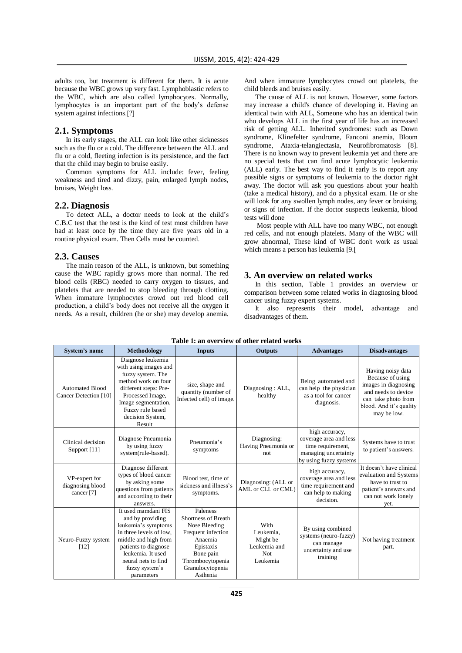adults too, but treatment is different for them. It is acute because the WBC grows up very fast. Lymphoblastic refers to the WBC, which are also called lymphocytes. Normally, lymphocytes is an important part of the body's defense system against infections.[?]

## **2.1. Symptoms**

In its early stages, the ALL can look like other sicknesses such as the flu or a cold. The difference between the ALL and flu or a cold, fleeting infection is its persistence, and the fact that the child may begin to bruise easily.

Common symptoms for ALL include: fever, feeling weakness and tired and dizzy, pain, enlarged lymph nodes, bruises, Weight loss.

#### **2.2. Diagnosis**

To detect ALL, a doctor needs to look at the child's C.B.C test that the test is the kind of test most children have had at least once by the time they are five years old in a routine physical exam. Then Cells must be counted.

#### **2.3. Causes**

The main reason of the ALL, is unknown, but something cause the WBC rapidly grows more than normal. The red blood cells (RBC) needed to carry oxygen to tissues, and platelets that are needed to stop bleeding through clotting. When immature lymphocytes crowd out red blood cell production, a child's body does not receive all the oxygen it needs. As a result, children (he or she) may develop anemia.

And when immature lymphocytes crowd out platelets, the child bleeds and bruises easily.

The cause of ALL is not known. However, some factors may increase a child's chance of developing it. Having an identical twin with ALL, Someone who has an identical twin who develops ALL in the first year of life has an increased risk of getting ALL. Inherited syndromes: such as Down syndrome, Klinefelter syndrome, Fanconi anemia, Bloom syndrome, Ataxia-telangiectasia, Neurofibromatosis [8]. There is no known way to prevent leukemia yet and there are no special tests that can find acute lymphocytic leukemia (ALL) early. The best way to find it early is to report any possible signs or symptoms of leukemia to the doctor right away. The doctor will ask you questions about your health (take a medical history), and do a physical exam. He or she will look for any swollen lymph nodes, any fever or bruising, or signs of infection. If the doctor suspects leukemia, blood tests will done

Most people with ALL have too many WBC, not enough red cells, and not enough platelets. Many of the WBC will grow abnormal, These kind of WBC don't work as usual which means a person has leukemia [9.]

#### **3. An overview on related works**

In this section, Table 1 provides an overview or comparison between some related works in diagnosing blood cancer using fuzzy expert systems.

It also represents their model, advantage and disadvantages of them.

| System's name                                              | Methodology                                                                                                                                                                                                           | <b>Inputs</b>                                                                                                                                                   | <b>Outputs</b>                                                    | <b>Advantages</b>                                                                                               | <b>Disadvantages</b>                                                                                                                                  |
|------------------------------------------------------------|-----------------------------------------------------------------------------------------------------------------------------------------------------------------------------------------------------------------------|-----------------------------------------------------------------------------------------------------------------------------------------------------------------|-------------------------------------------------------------------|-----------------------------------------------------------------------------------------------------------------|-------------------------------------------------------------------------------------------------------------------------------------------------------|
| <b>Automated Blood</b><br>Cancer Detection [10]            | Diagnose leukemia<br>with using images and<br>fuzzy system. The<br>method work on four<br>different steps: Pre-<br>Processed Image,<br>Image segmentation,<br>Fuzzy rule based<br>decision System,<br>Result          | size, shape and<br>quantity (number of<br>Infected cell) of image.                                                                                              | Diagnosing: ALL,<br>healthy                                       | Being automated and<br>can help the physician<br>as a tool for cancer<br>diagnosis.                             | Having noisy data<br>Because of using<br>images in diagnosing<br>and needs to device<br>can take photo from<br>blood. And it's quality<br>may be low. |
| Clinical decision<br>Support [11]                          | Diagnose Pneumonia<br>by using fuzzy<br>system(rule-based).                                                                                                                                                           | Pneumonia's<br>symptoms                                                                                                                                         | Diagnosing:<br>Having Pneumonia or<br>not.                        | high accuracy,<br>coverage area and less<br>time requirement,<br>managing uncertainty<br>by using fuzzy systems | Systems have to trust<br>to patient's answers.                                                                                                        |
| VP-expert for<br>diagnosing blood<br>cancer <sup>[7]</sup> | Diagnose different<br>types of blood cancer<br>by asking some<br>questions from patients<br>and according to their<br>answers.                                                                                        | Blood test, time of<br>sickness and illness's<br>symptoms.                                                                                                      | Diagnosing: (ALL or<br>AML or CLL or CML)                         | high accuracy,<br>coverage area and less<br>time requirement and<br>can help to making<br>decision.             | It doesn't have clinical<br>evaluation and Systems<br>have to trust to<br>patient's answers and<br>can not work lonely<br>yet.                        |
| Neuro-Fuzzy system<br>[12]                                 | It used mamdani FIS<br>and by providing<br>leukemia's symptoms<br>in three levels of low.<br>middle and high from<br>patients to diagnose<br>leukemia. It used<br>neural nets to find<br>fuzzy system's<br>parameters | Paleness<br>Shortness of Breath<br>Nose Bleeding<br>Frequent infection<br>Anaemia<br>Epistaxis<br>Bone pain<br>Thrombocytopenia<br>Granulocytopenia<br>Asthenia | With<br>Leukemia,<br>Might be<br>Leukemia and<br>Not.<br>Leukemia | By using combined<br>systems (neuro-fuzzy)<br>can manage<br>uncertainty and use<br>training                     | Not having treatment<br>part.                                                                                                                         |

## **Table 1: an overview of other related works**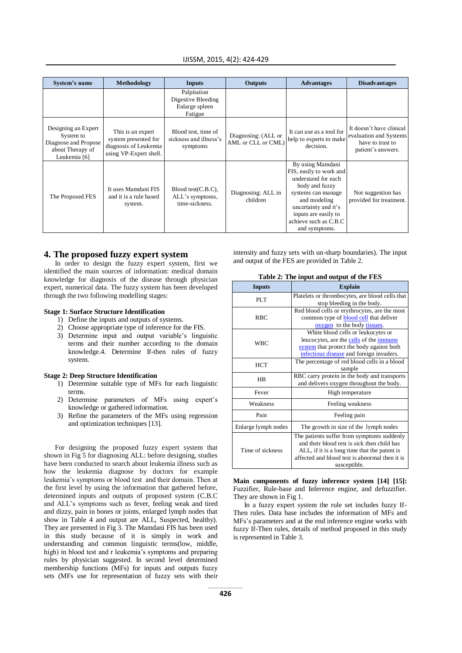|  |  |  | IJISSM, 2015, 4(2): 424-429 |
|--|--|--|-----------------------------|
|--|--|--|-----------------------------|

| System's name                                                                                | Methodology                                                                                  | <b>Inputs</b>                                                  | <b>Outputs</b>                            | <b>Advantages</b>                                                                                                                                                                                                    | <b>Disadvantages</b>                                                                         |
|----------------------------------------------------------------------------------------------|----------------------------------------------------------------------------------------------|----------------------------------------------------------------|-------------------------------------------|----------------------------------------------------------------------------------------------------------------------------------------------------------------------------------------------------------------------|----------------------------------------------------------------------------------------------|
|                                                                                              |                                                                                              | Palpitation<br>Digestive Bleeding<br>Enlarge spleen<br>Fatigue |                                           |                                                                                                                                                                                                                      |                                                                                              |
| Designing an Expert<br>System to<br>Diagnose and Propose<br>about Therapy of<br>Leukemia [6] | This is an expert<br>system presented for<br>diagnosis of Leukemia<br>using VP-Expert shell. | Blood test, time of<br>sickness and illness's<br>symptoms      | Diagnosing: (ALL or<br>AML or CLL or CML) | It can use as a tool for<br>help to experts to make<br>decision.                                                                                                                                                     | It doesn't have clinical<br>evaluation and Systems<br>have to trust to<br>patient's answers. |
| The Proposed FES                                                                             | It uses Mamdani FIS<br>and it is a rule based<br>system.                                     | Blood test(C.B.C),<br>ALL's symptoms,<br>time-sickness.        | Diagnosing: ALL in<br>children            | By using Mamdani<br>FIS, easily to work and<br>understand for each<br>body and fuzzy<br>systems can manage<br>and modeling<br>uncertainty and it's<br>inputs are easily to<br>achieve such as C.B.C<br>and symptoms. | Not suggestion has<br>provided for treatment.                                                |

# **4. The proposed fuzzy expert system**

In order to design the fuzzy expert system, first we identified the main sources of information: medical domain knowledge for diagnosis of the disease through physician expert, numerical data. The fuzzy system has been developed through the two following modelling stages:

## **Stage 1: Surface Structure Identification**

- 1) Define the inputs and outputs of systems.
- 2) Choose appropriate type of inference for the FIS.
- 3) Determine input and output variable's linguistic terms and their number according to the domain knowledge.4. Determine If-then rules of fuzzy system.

#### **Stage 2: Deep Structure Identification**

- 1) Determine suitable type of MFs for each linguistic terms.
- 2) Determine parameters of MFs using expert's knowledge or gathered information.
- 3) Refine the parameters of the MFs using regression and optimization techniques [13].

For designing the proposed fuzzy expert system that shown in Fig 5 for diagnosing ALL: before designing, studies have been conducted to search about leukemia illness such as how the leukemia diagnose by doctors for example leukemia's symptoms or blood test and their domain. Then at the first level by using the information that gathered before, determined inputs and outputs of proposed system (C.B.C and ALL's symptoms such as fever, feeling weak and tired and dizzy, pain in bones or joints, enlarged lymph nodes that show in Table 4 and output are ALL, Suspected, healthy). They are presented in Fig 3. The Mamdani FIS has been used in this study because of it is simply in work and understanding and common linguistic terms(low, middle, high) in blood test and r leukemia's symptoms and preparing rules by physician suggested. In second level determined membership functions (MFs) for inputs and outputs fuzzy sets (MFs use for representation of fuzzy sets with their intensity and fuzzy sets with un-sharp boundaries). The input and output of the FES are provided in Table 2.

|  |  |  |  | Table 2: The input and output of the FES |
|--|--|--|--|------------------------------------------|
|--|--|--|--|------------------------------------------|

| <b>Inputs</b>       | <b>Explain</b>                                  |  |  |
|---------------------|-------------------------------------------------|--|--|
| PLT                 | Platelets or thrombocytes, are blood cells that |  |  |
|                     | stop bleeding in the body.                      |  |  |
|                     | Red blood cells or erythrocytes, are the most   |  |  |
| <b>RBC</b>          | common type of <b>blood cell</b> that deliver   |  |  |
|                     | oxygen to the body tissues.                     |  |  |
|                     | White blood cells or leukocytes or              |  |  |
| <b>WBC</b>          | leucocytes, are the cells of the immune         |  |  |
|                     | system that protect the body against both       |  |  |
|                     | infectious disease and foreign invaders.        |  |  |
| <b>HCT</b>          | The percentage of red blood cells in a blood    |  |  |
|                     | sample                                          |  |  |
| HB                  | RBC carry protein in the body and transports    |  |  |
|                     | and delivers oxygen throughout the body.        |  |  |
| Fever               | High temperature                                |  |  |
| Weakness            | Feeling weakness                                |  |  |
| Pain                | Feeling pain                                    |  |  |
| Enlarge lymph nodes | The growth in size of the lymph nodes           |  |  |
|                     | The patients suffer from symptoms suddenly      |  |  |
|                     | and their blood test is sick then child has     |  |  |
| Time of sickness    | ALL, if it is a long time that the patent is    |  |  |
|                     | affected and blood test is abnormal then it is  |  |  |
|                     | susceptible.                                    |  |  |

**Main components of fuzzy inference system [14] [15]:**  Fuzzifier, Rule-base and Inference engine, and defuzzifier. They are shown in Fig 1.

In a fuzzy expert system the rule set includes fuzzy If-Then rules. Data base includes the information of MFs and MFs's parameters and at the end inference engine works with fuzzy If-Then rules, details of method proposed in this study is represented in Table 3.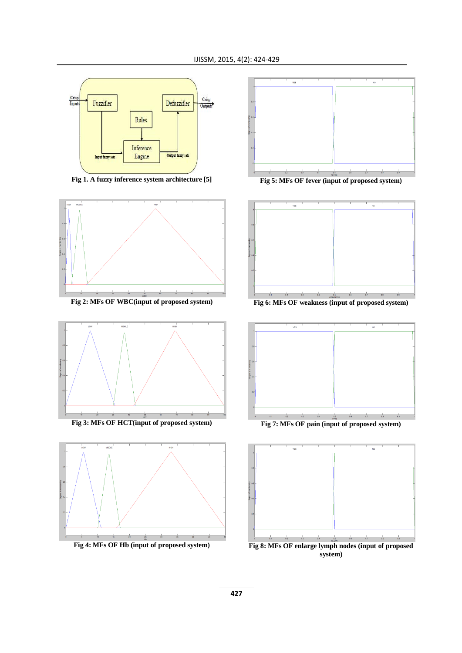

**Fig 1. A fuzzy inference system architecture [5]**



**Fig 2: MFs OF WBC(input of proposed system)**



**Fig 3: MFs OF HCT(input of proposed system)**





**Fig 5: MFs OF fever (input of proposed system)**



**Fig 6: MFs OF weakness (input of proposed system)**



**Fig 7: MFs OF pain (input of proposed system)**

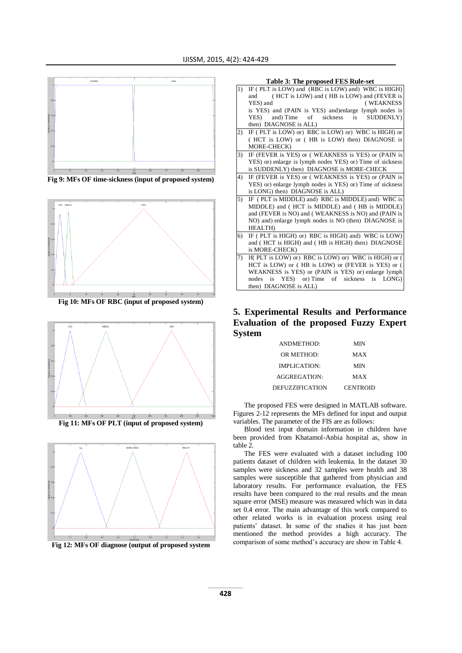

**Fig 9: MFs OF time-sickness (input of proposed system)**



**Fig 10: MFs OF RBC (input of proposed system)**



**Fig 11: MFs OF PLT (input of proposed system)**



**Table 3: The proposed FES Rule-set** IF (PLT is LOW) and (RBC is LOW) and) WBC is HIGH) and ( HCT is LOW) and ( HB is LOW) and (FEVER is YES) and ( WEAKNESS is YES) and (PAIN is YES) and)enlarge lymph nodes is YES) and Time of sickness is SUDDENLY) then) DIAGNOSE is ALL) 2) IF (PLT is LOW) or) RBC is LOW) or) WBC is HIGH) or ( HCT is LOW) or ( HB is LOW) then) DIAGNOSE is MORE-CHECK) IF (FEVER is YES) or ( WEAKNESS is YES) or (PAIN is YES) or) enlarge is lymph nodes YES) or) Time of sickness is SUDDENLY) then) DIAGNOSE is MORE-CHECK 4) IF (FEVER is YES) or ( WEAKNESS is YES) or (PAIN is YES) or) enlarge lymph nodes is YES) or) Time of sickness is  $LONG$ ) then $\overline{O}$  DIAGNOSE is ALL) IF ( PLT is MIDDLE) and) RBC is MIDDLE) and) WBC is MIDDLE) and ( HCT is MIDDLE) and ( HB is MIDDLE) and (FEVER is NO) and ( WEAKNESS is NO) and (PAIN is NO) and) enlarge lymph nodes is NO (then) DIAGNOSE is HEALTH)  $6)$  IF (PLT is HIGH) or) RBC is HIGH) and) WBC is LOW) and (HCT is HIGH) and (HB is HIGH) then) DIAGNOSE is MORE-CHECK) If( PLT is LOW) or) RBC is LOW) or) WBC is HIGH) or ( HCT is LOW) or ( HB is LOW) or (FEVER is YES) or ( WEAKNESS is YES) or (PAIN is YES) or) enlarge lymph nodes is YES) or) Time of sickness is LONG) then) DIAGNOSE is ALL)

**5. Experimental Results and Performance Evaluation of the proposed Fuzzy Expert System**

| ANDMETHOD:             | MIN             |
|------------------------|-----------------|
| OR METHOD:             | MAX             |
| <b>IMPLICATION:</b>    | MIN             |
| AGGREGATION:           | MAX             |
| <b>DEFUZZIFICATION</b> | <b>CENTROID</b> |

The proposed FES were designed in MATLAB software. Figures 2-12 represents the MFs defined for input and output variables. The parameter of the FIS are as follows:

Blood test input domain information in children have been provided from Khatamol-Anbia hospital as, show in table 2.

The FES were evaluated with a dataset including 100 patients dataset of children with leukemia. In the dataset 30 samples were sickness and 32 samples were health and 38 samples were susceptible that gathered from physician and laboratory results. For performance evaluation, the FES results have been compared to the real results and the mean square error (MSE) measure was measured which was in data set 0.4 error. The main advantage of this work compared to other related works is in evaluation process using real patients' dataset. In some of the studies it has just been mentioned the method provides a high accuracy. The comparison of some method's accuracy are show in Table 4.